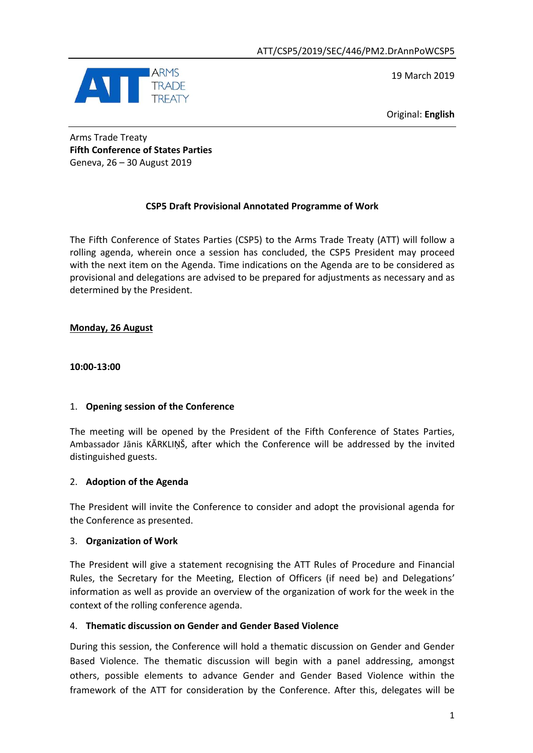

19 March 2019

Original: **English**

Arms Trade Treaty **Fifth Conference of States Parties** Geneva, 26 – 30 August 2019

# **CSP5 Draft Provisional Annotated Programme of Work**

The Fifth Conference of States Parties (CSP5) to the Arms Trade Treaty (ATT) will follow a rolling agenda, wherein once a session has concluded, the CSP5 President may proceed with the next item on the Agenda. Time indications on the Agenda are to be considered as provisional and delegations are advised to be prepared for adjustments as necessary and as determined by the President.

# **Monday, 26 August**

# **10:00-13:00**

# 1. **Opening session of the Conference**

The meeting will be opened by the President of the Fifth Conference of States Parties, Ambassador Jānis KĀRKLIŅŠ, after which the Conference will be addressed by the invited distinguished guests.

# 2. **Adoption of the Agenda**

The President will invite the Conference to consider and adopt the provisional agenda for the Conference as presented.

## 3. **Organization of Work**

The President will give a statement recognising the ATT Rules of Procedure and Financial Rules, the Secretary for the Meeting, Election of Officers (if need be) and Delegations' information as well as provide an overview of the organization of work for the week in the context of the rolling conference agenda.

# 4. **Thematic discussion on Gender and Gender Based Violence**

During this session, the Conference will hold a thematic discussion on Gender and Gender Based Violence. The thematic discussion will begin with a panel addressing, amongst others, possible elements to advance Gender and Gender Based Violence within the framework of the ATT for consideration by the Conference. After this, delegates will be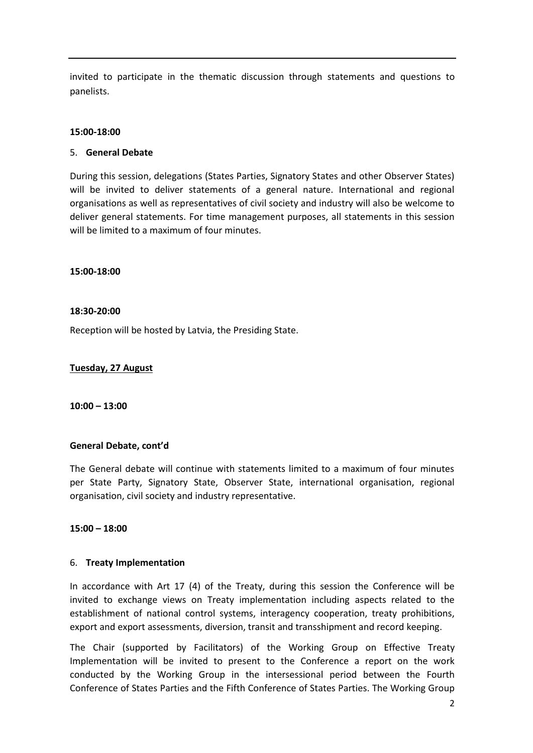invited to participate in the thematic discussion through statements and questions to panelists.

### **15:00-18:00**

### 5. **General Debate**

During this session, delegations (States Parties, Signatory States and other Observer States) will be invited to deliver statements of a general nature. International and regional organisations as well as representatives of civil society and industry will also be welcome to deliver general statements. For time management purposes, all statements in this session will be limited to a maximum of four minutes.

### **15:00-18:00**

#### **18:30-20:00**

Reception will be hosted by Latvia, the Presiding State.

### **Tuesday, 27 August**

### **10:00 – 13:00**

### **General Debate, cont'd**

The General debate will continue with statements limited to a maximum of four minutes per State Party, Signatory State, Observer State, international organisation, regional organisation, civil society and industry representative.

### **15:00 – 18:00**

#### 6. **Treaty Implementation**

In accordance with Art 17 (4) of the Treaty, during this session the Conference will be invited to exchange views on Treaty implementation including aspects related to the establishment of national control systems, interagency cooperation, treaty prohibitions, export and export assessments, diversion, transit and transshipment and record keeping.

The Chair (supported by Facilitators) of the Working Group on Effective Treaty Implementation will be invited to present to the Conference a report on the work conducted by the Working Group in the intersessional period between the Fourth Conference of States Parties and the Fifth Conference of States Parties. The Working Group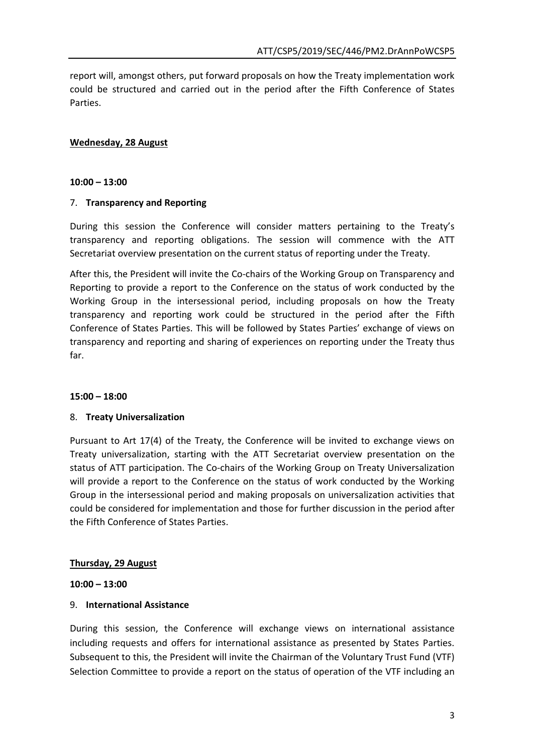report will, amongst others, put forward proposals on how the Treaty implementation work could be structured and carried out in the period after the Fifth Conference of States Parties.

## **Wednesday, 28 August**

## **10:00 – 13:00**

## 7. **Transparency and Reporting**

During this session the Conference will consider matters pertaining to the Treaty's transparency and reporting obligations. The session will commence with the ATT Secretariat overview presentation on the current status of reporting under the Treaty.

After this, the President will invite the Co-chairs of the Working Group on Transparency and Reporting to provide a report to the Conference on the status of work conducted by the Working Group in the intersessional period, including proposals on how the Treaty transparency and reporting work could be structured in the period after the Fifth Conference of States Parties. This will be followed by States Parties' exchange of views on transparency and reporting and sharing of experiences on reporting under the Treaty thus far.

## **15:00 – 18:00**

## 8. **Treaty Universalization**

Pursuant to Art 17(4) of the Treaty, the Conference will be invited to exchange views on Treaty universalization, starting with the ATT Secretariat overview presentation on the status of ATT participation. The Co-chairs of the Working Group on Treaty Universalization will provide a report to the Conference on the status of work conducted by the Working Group in the intersessional period and making proposals on universalization activities that could be considered for implementation and those for further discussion in the period after the Fifth Conference of States Parties.

## **Thursday, 29 August**

## **10:00 – 13:00**

## 9. **International Assistance**

During this session, the Conference will exchange views on international assistance including requests and offers for international assistance as presented by States Parties. Subsequent to this, the President will invite the Chairman of the Voluntary Trust Fund (VTF) Selection Committee to provide a report on the status of operation of the VTF including an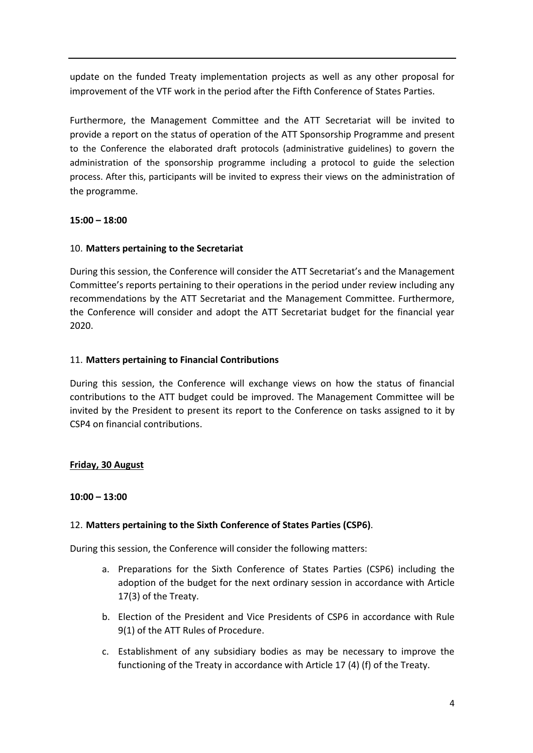update on the funded Treaty implementation projects as well as any other proposal for improvement of the VTF work in the period after the Fifth Conference of States Parties.

Furthermore, the Management Committee and the ATT Secretariat will be invited to provide a report on the status of operation of the ATT Sponsorship Programme and present to the Conference the elaborated draft protocols (administrative guidelines) to govern the administration of the sponsorship programme including a protocol to guide the selection process. After this, participants will be invited to express their views on the administration of the programme.

## **15:00 – 18:00**

## 10. **Matters pertaining to the Secretariat**

During this session, the Conference will consider the ATT Secretariat's and the Management Committee's reports pertaining to their operations in the period under review including any recommendations by the ATT Secretariat and the Management Committee. Furthermore, the Conference will consider and adopt the ATT Secretariat budget for the financial year 2020.

## 11. **Matters pertaining to Financial Contributions**

During this session, the Conference will exchange views on how the status of financial contributions to the ATT budget could be improved. The Management Committee will be invited by the President to present its report to the Conference on tasks assigned to it by CSP4 on financial contributions.

## **Friday, 30 August**

## **10:00 – 13:00**

## 12. **Matters pertaining to the Sixth Conference of States Parties (CSP6)**.

During this session, the Conference will consider the following matters:

- a. Preparations for the Sixth Conference of States Parties (CSP6) including the adoption of the budget for the next ordinary session in accordance with Article 17(3) of the Treaty.
- b. Election of the President and Vice Presidents of CSP6 in accordance with Rule 9(1) of the ATT Rules of Procedure.
- c. Establishment of any subsidiary bodies as may be necessary to improve the functioning of the Treaty in accordance with Article 17 (4) (f) of the Treaty.